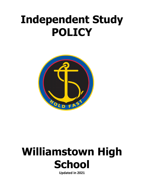## **Independent Study POLICY**



# **Williamstown High School**

**Updated in 2021**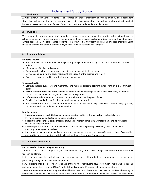### **Independent Study Policy**

#### **1. Rationale**

At Williamstown High School students are encouraged to enhance their learning by completing regular independent study that includes reinforcing the content covered in class, completing directed, negotiated and independent homework tasks, revising notes for tests/exams, and dedicated independent reading time.

#### 2. **Purpose**

With support from teachers and family members students should develop a study routine in line with a balanced school program, which incorporates a combination of being active, socialisation, down-time and part-time work (where applicable). This also teaches students to be organised as they learn to plan and prioritise their time using the study planner and other eLearning tools, such as Google Classroom and Compass.

#### 3. **Implementation**

#### **Students should:**

- Take responsibility for their own learning by completing independent study on time and to their best of their ability.
- Maintain an effective study planner.
- Communicate to the teacher and/or family if there are any difficulties/issues.
- Develop good learning and study habits with the support of the teacher and family.
- Catch up on work missed in consultation with the teacher.

#### **Teachers should:**

- Set tasks that are purposeful and meaningful, and reinforce students' learning by following on in class from set tasks.
- Ensure students are aware of the work to be completed and encourage students to use the study planner to record tasks and due dates. Regularly check the study planner.
- Differentiate tasks where appropriate to support all students at the point of need.
- Provide timely and effective feedback to students, where appropriate.
- Take into consideration the workload of students so that they can manage their workload effectively, by having discussions with the students and other teachers.

#### **Families should:**

- Encourage students to establish good independent study patterns through a study routine/planner.
- Provide a quiet area dedicated to independent study.
- Support the independent study practices of students, without completing work for them, and acknowledge success as they complete it.
- Provide opportunities for students to demonstrate their learning through discussing their homework or ideas/topics being taught in class.
- Encourage the use of, and regularly check, study planners and other eLearning platforms to enhance/assist with organisation and communicate with teachers. E.g. Google Classroom, Compass, etc.

#### **4. Specific procedures**

#### **Recommended time for independent study**

Students should aim to complete regular independent study in line with a negotiated study routine with their teachers and family.

In the senior school, the work demands will increase and there will also be increased demands on the weekend, particularly during SAC and examination periods.

SEALP students should look to the year ahead of their actual year level to gauge how much time they should spend on independent study e.g. Year 8 SEALP student should complete 90 minutes of independent study.

These are recommended times only and should be discussed with the student, teachers and families. There may be days where students have extracurricular or family commitments. Students should take this into consideration when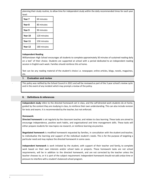planning their study routine, to allow time for independent study within the daily recommended times for each year level:

| ievei.  |             |
|---------|-------------|
| Year 7  | 60 minutes  |
| Year 8  | 80 minutes  |
| Year 9  | 90 minutes  |
| Year 10 | 120 minutes |
| Year 11 | 150 minutes |
| Year 12 | 180 minutes |

#### **Independent Reading**

Williamstown High School encourages all students to complete approximately 30 minutes of sustained reading daily on a text<sup>1</sup> of their choice. Students are supported at school with a period dedicated to an independent reading session in English each week. Families should reinforce this at home.

Text can be any reading material of the student's choice i.e. newspaper, online articles, blogs, novels, magazines, etc.

#### 5. **Evaluation and review**

. This policy was ratified by the School Council in 2021 and will be reviewed as part of the 3 year school's review cycle and in the event of any incident which may prompt a review of the policy.

#### **6. Definitions & references**

**Independent study** refers to the directed homework set in class, and the self-directed work students do at home, guided by the content they are studying in class, to reinforce their own understanding. This can also include revision for tests and exams. It is recommended by the teacher, but not enforced.

#### **Homework:**

**Directed homework** is set regularly by the classroom teacher, and relates to class learning. These tasks are aimed to encourage independence, positive work habits, and organisational and time management skills. These tasks will either prepare students for new topics via research, or reinforce learning via practice.

**Negotiated homework** is modified homework requested by families, in consultation with the student and teacher, to individualise the learning and support of the individual student's needs. This is for the purpose of targeting a particular need and may replace the directed homework in some cases.

**Independent homework** is work initiated by the student, with support of their teacher and family, to complete work based on their own interests and/or school tasks or projects. These homework tasks are not school requirements, will be in addition to the directed homework, and are not corrected by the teacher unless the teacher chooses to, or it is part of the subject requirement. Independent homework should not add undue time or pressure to interfere with a student's balanced school program.